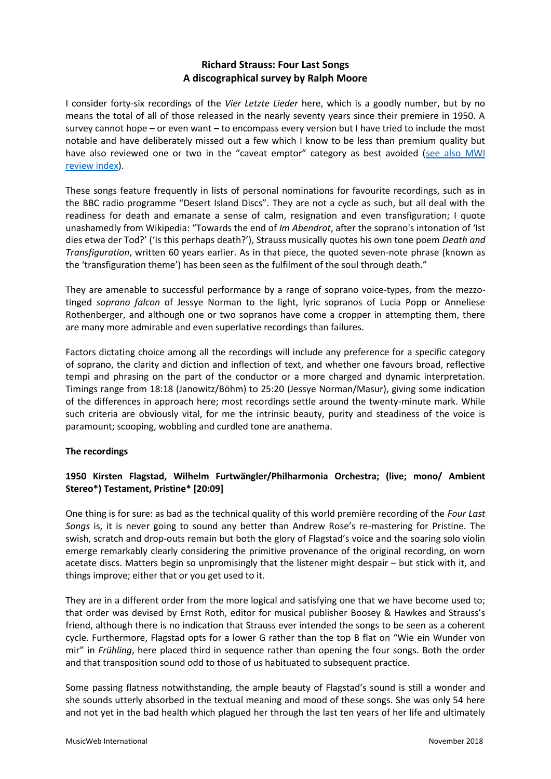# **Richard Strauss: Four Last Songs A discographical survey by Ralph Moore**

I consider forty-six recordings of the *Vier Letzte Lieder* here, which is a goodly number, but by no means the total of all of those released in the nearly seventy years since their premiere in 1950. A survey cannot hope – or even want – to encompass every version but I have tried to include the most notable and have deliberately missed out a few which I know to be less than premium quality but have also reviewed one or two in the "caveat emptor" category as best avoided (see also MWI [review index\)](http://www.musicweb-international.com/mwork_index/strauss_four.htm).

These songs feature frequently in lists of personal nominations for favourite recordings, such as in the BBC radio programme "Desert Island Discs". They are not a cycle as such, but all deal with the readiness for death and emanate a sense of calm, resignation and even transfiguration; I quote unashamedly from Wikipedia: "Towards the end of *Im Abendrot*, after the soprano's intonation of 'Ist dies etwa der Tod?' ('Is this perhaps death?'), Strauss musically quotes his own tone poem *Death and Transfiguration*, written 60 years earlier. As in that piece, the quoted seven-note phrase (known as the 'transfiguration theme') has been seen as the fulfilment of the soul through death."

They are amenable to successful performance by a range of soprano voice-types, from the mezzotinged *soprano falcon* of Jessye Norman to the light, lyric sopranos of Lucia Popp or Anneliese Rothenberger, and although one or two sopranos have come a cropper in attempting them, there are many more admirable and even superlative recordings than failures.

Factors dictating choice among all the recordings will include any preference for a specific category of soprano, the clarity and diction and inflection of text, and whether one favours broad, reflective tempi and phrasing on the part of the conductor or a more charged and dynamic interpretation. Timings range from 18:18 (Janowitz/Böhm) to 25:20 (Jessye Norman/Masur), giving some indication of the differences in approach here; most recordings settle around the twenty-minute mark. While such criteria are obviously vital, for me the intrinsic beauty, purity and steadiness of the voice is paramount; scooping, wobbling and curdled tone are anathema.

# **The recordings**

# **1950 Kirsten Flagstad, Wilhelm Furtwängler/Philharmonia Orchestra; (live; mono/ Ambient Stereo\*) Testament, Pristine\* [20:09]**

One thing is for sure: as bad as the technical quality of this world première recording of the *Four Last Songs* is, it is never going to sound any better than Andrew Rose's re-mastering for Pristine. The swish, scratch and drop-outs remain but both the glory of Flagstad's voice and the soaring solo violin emerge remarkably clearly considering the primitive provenance of the original recording, on worn acetate discs. Matters begin so unpromisingly that the listener might despair – but stick with it, and things improve; either that or you get used to it.

They are in a different order from the more logical and satisfying one that we have become used to; that order was devised by Ernst Roth, editor for musical publisher Boosey & Hawkes and Strauss's friend, although there is no indication that Strauss ever intended the songs to be seen as a coherent cycle. Furthermore, Flagstad opts for a lower G rather than the top B flat on "Wie ein Wunder von mir" in *Frühling*, here placed third in sequence rather than opening the four songs. Both the order and that transposition sound odd to those of us habituated to subsequent practice.

Some passing flatness notwithstanding, the ample beauty of Flagstad's sound is still a wonder and she sounds utterly absorbed in the textual meaning and mood of these songs. She was only 54 here and not yet in the bad health which plagued her through the last ten years of her life and ultimately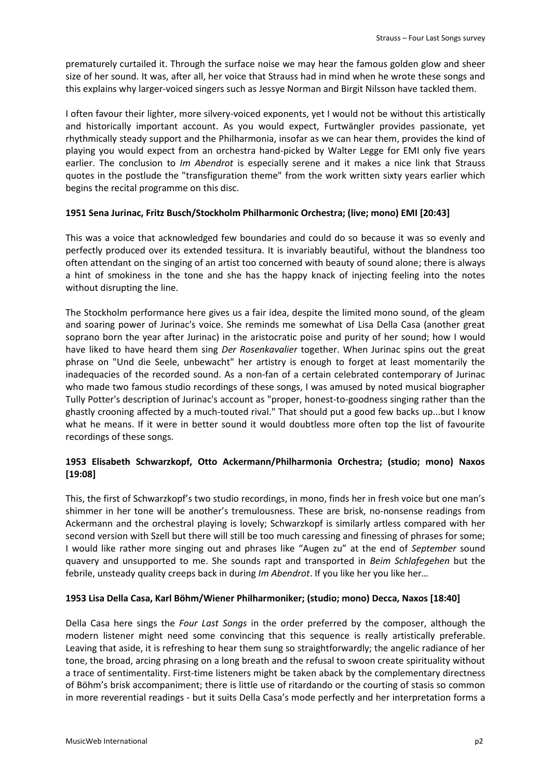prematurely curtailed it. Through the surface noise we may hear the famous golden glow and sheer size of her sound. It was, after all, her voice that Strauss had in mind when he wrote these songs and this explains why larger-voiced singers such as Jessye Norman and Birgit Nilsson have tackled them.

I often favour their lighter, more silvery-voiced exponents, yet I would not be without this artistically and historically important account. As you would expect, Furtwängler provides passionate, yet rhythmically steady support and the Philharmonia, insofar as we can hear them, provides the kind of playing you would expect from an orchestra hand-picked by Walter Legge for EMI only five years earlier. The conclusion to *Im Abendrot* is especially serene and it makes a nice link that Strauss quotes in the postlude the "transfiguration theme" from the work written sixty years earlier which begins the recital programme on this disc.

## **1951 Sena Jurinac, Fritz Busch/Stockholm Philharmonic Orchestra; (live; mono) EMI [20:43]**

This was a voice that acknowledged few boundaries and could do so because it was so evenly and perfectly produced over its extended tessitura. It is invariably beautiful, without the blandness too often attendant on the singing of an artist too concerned with beauty of sound alone; there is always a hint of smokiness in the tone and she has the happy knack of injecting feeling into the notes without disrupting the line.

The Stockholm performance here gives us a fair idea, despite the limited mono sound, of the gleam and soaring power of Jurinac's voice. She reminds me somewhat of Lisa Della Casa (another great soprano born the year after Jurinac) in the aristocratic poise and purity of her sound; how I would have liked to have heard them sing *Der Rosenkavalier* together. When Jurinac spins out the great phrase on "Und die Seele, unbewacht" her artistry is enough to forget at least momentarily the inadequacies of the recorded sound. As a non-fan of a certain celebrated contemporary of Jurinac who made two famous studio recordings of these songs, I was amused by noted musical biographer Tully Potter's description of Jurinac's account as "proper, honest-to-goodness singing rather than the ghastly crooning affected by a much-touted rival." That should put a good few backs up...but I know what he means. If it were in better sound it would doubtless more often top the list of favourite recordings of these songs.

# **1953 Elisabeth Schwarzkopf, Otto Ackermann/Philharmonia Orchestra; (studio; mono) Naxos [19:08]**

This, the first of Schwarzkopf's two studio recordings, in mono, finds her in fresh voice but one man's shimmer in her tone will be another's tremulousness. These are brisk, no-nonsense readings from Ackermann and the orchestral playing is lovely; Schwarzkopf is similarly artless compared with her second version with Szell but there will still be too much caressing and finessing of phrases for some; I would like rather more singing out and phrases like "Augen zu" at the end of *September* sound quavery and unsupported to me. She sounds rapt and transported in *Beim Schlafegehen* but the febrile, unsteady quality creeps back in during *Im Abendrot*. If you like her you like her…

## **1953 Lisa Della Casa, Karl Böhm/Wiener Philharmoniker; (studio; mono) Decca, Naxos [18:40]**

Della Casa here sings the *Four Last Songs* in the order preferred by the composer, although the modern listener might need some convincing that this sequence is really artistically preferable. Leaving that aside, it is refreshing to hear them sung so straightforwardly; the angelic radiance of her tone, the broad, arcing phrasing on a long breath and the refusal to swoon create spirituality without a trace of sentimentality. First-time listeners might be taken aback by the complementary directness of Böhm's brisk accompaniment; there is little use of ritardando or the courting of stasis so common in more reverential readings - but it suits Della Casa's mode perfectly and her interpretation forms a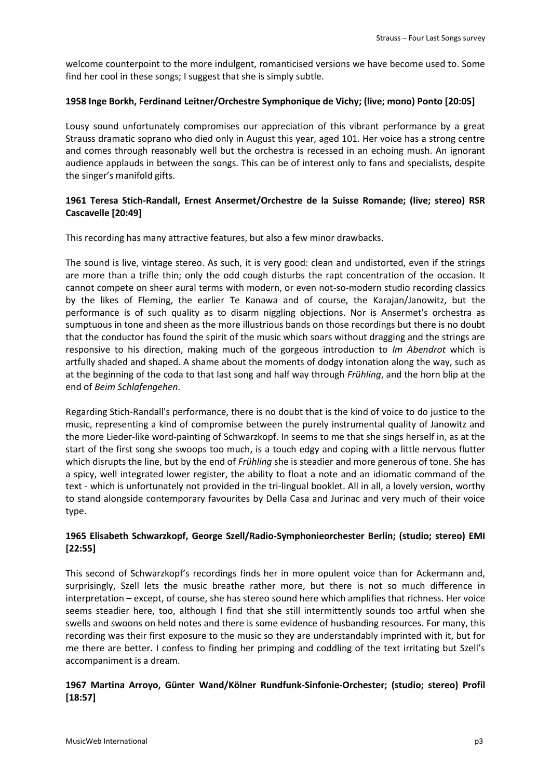welcome counterpoint to the more indulgent, romanticised versions we have become used to. Some find her cool in these songs; I suggest that she is simply subtle.

## **1958 Inge Borkh, Ferdinand Leitner/Orchestre Symphonique de Vichy; (live; mono) Ponto [20:05]**

Lousy sound unfortunately compromises our appreciation of this vibrant performance by a great Strauss dramatic soprano who died only in August this year, aged 101. Her voice has a strong centre and comes through reasonably well but the orchestra is recessed in an echoing mush. An ignorant audience applauds in between the songs. This can be of interest only to fans and specialists, despite the singer's manifold gifts.

# **1961 Teresa Stich-Randall, Ernest Ansermet/Orchestre de la Suisse Romande; (live; stereo) RSR Cascavelle [20:49]**

This recording has many attractive features, but also a few minor drawbacks.

The sound is live, vintage stereo. As such, it is very good: clean and undistorted, even if the strings are more than a trifle thin; only the odd cough disturbs the rapt concentration of the occasion. It cannot compete on sheer aural terms with modern, or even not-so-modern studio recording classics by the likes of Fleming, the earlier Te Kanawa and of course, the Karajan/Janowitz, but the performance is of such quality as to disarm niggling objections. Nor is Ansermet's orchestra as sumptuous in tone and sheen as the more illustrious bands on those recordings but there is no doubt that the conductor has found the spirit of the music which soars without dragging and the strings are responsive to his direction, making much of the gorgeous introduction to *Im Abendrot* which is artfully shaded and shaped. A shame about the moments of dodgy intonation along the way, such as at the beginning of the coda to that last song and half way through *Frühling*, and the horn blip at the end of *Beim Schlafengehen*.

Regarding Stich-Randall's performance, there is no doubt that is the kind of voice to do justice to the music, representing a kind of compromise between the purely instrumental quality of Janowitz and the more Lieder-like word-painting of Schwarzkopf. In seems to me that she sings herself in, as at the start of the first song she swoops too much, is a touch edgy and coping with a little nervous flutter which disrupts the line, but by the end of *Frühling* she is steadier and more generous of tone. She has a spicy, well integrated lower register, the ability to float a note and an idiomatic command of the text - which is unfortunately not provided in the tri-lingual booklet. All in all, a lovely version, worthy to stand alongside contemporary favourites by Della Casa and Jurinac and very much of their voice type.

# **1965 Elisabeth Schwarzkopf, George Szell/Radio-Symphonieorchester Berlin; (studio; stereo) EMI [22:55]**

This second of Schwarzkopf's recordings finds her in more opulent voice than for Ackermann and, surprisingly, Szell lets the music breathe rather more, but there is not so much difference in interpretation – except, of course, she has stereo sound here which amplifies that richness. Her voice seems steadier here, too, although I find that she still intermittently sounds too artful when she swells and swoons on held notes and there is some evidence of husbanding resources. For many, this recording was their first exposure to the music so they are understandably imprinted with it, but for me there are better. I confess to finding her primping and coddling of the text irritating but Szell's accompaniment is a dream.

# **1967 Martina Arroyo, Günter Wand/Kölner Rundfunk-Sinfonie-Orchester; (studio; stereo) Profil [18:57]**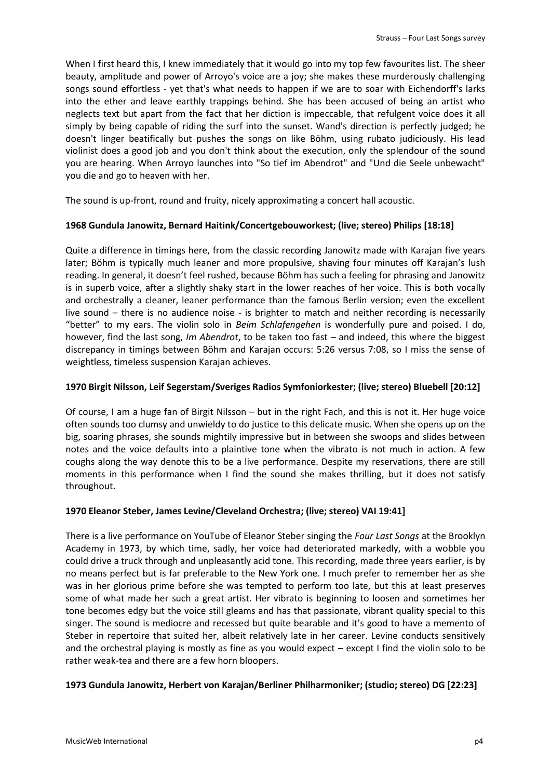When I first heard this, I knew immediately that it would go into my top few favourites list. The sheer beauty, amplitude and power of Arroyo's voice are a joy; she makes these murderously challenging songs sound effortless - yet that's what needs to happen if we are to soar with Eichendorff's larks into the ether and leave earthly trappings behind. She has been accused of being an artist who neglects text but apart from the fact that her diction is impeccable, that refulgent voice does it all simply by being capable of riding the surf into the sunset. Wand's direction is perfectly judged; he doesn't linger beatifically but pushes the songs on like Böhm, using rubato judiciously. His lead violinist does a good job and you don't think about the execution, only the splendour of the sound you are hearing. When Arroyo launches into "So tief im Abendrot" and "Und die Seele unbewacht" you die and go to heaven with her.

The sound is up-front, round and fruity, nicely approximating a concert hall acoustic.

#### **1968 Gundula Janowitz, Bernard Haitink/Concertgebouworkest; (live; stereo) Philips [18:18]**

Quite a difference in timings here, from the classic recording Janowitz made with Karajan five years later; Böhm is typically much leaner and more propulsive, shaving four minutes off Karajan's lush reading. In general, it doesn't feel rushed, because Böhm has such a feeling for phrasing and Janowitz is in superb voice, after a slightly shaky start in the lower reaches of her voice. This is both vocally and orchestrally a cleaner, leaner performance than the famous Berlin version; even the excellent live sound – there is no audience noise - is brighter to match and neither recording is necessarily "better" to my ears. The violin solo in *Beim Schlafengehen* is wonderfully pure and poised. I do, however, find the last song, *Im Abendrot*, to be taken too fast – and indeed, this where the biggest discrepancy in timings between Böhm and Karajan occurs: 5:26 versus 7:08, so I miss the sense of weightless, timeless suspension Karajan achieves.

#### **1970 Birgit Nilsson, Leif Segerstam/Sveriges Radios Symfoniorkester; (live; stereo) Bluebell [20:12]**

Of course, I am a huge fan of Birgit Nilsson – but in the right Fach, and this is not it. Her huge voice often sounds too clumsy and unwieldy to do justice to this delicate music. When she opens up on the big, soaring phrases, she sounds mightily impressive but in between she swoops and slides between notes and the voice defaults into a plaintive tone when the vibrato is not much in action. A few coughs along the way denote this to be a live performance. Despite my reservations, there are still moments in this performance when I find the sound she makes thrilling, but it does not satisfy throughout.

## **1970 Eleanor Steber, James Levine/Cleveland Orchestra; (live; stereo) VAI 19:41]**

There is a live performance on YouTube of Eleanor Steber singing the *Four Last Songs* at the Brooklyn Academy in 1973, by which time, sadly, her voice had deteriorated markedly, with a wobble you could drive a truck through and unpleasantly acid tone. This recording, made three years earlier, is by no means perfect but is far preferable to the New York one. I much prefer to remember her as she was in her glorious prime before she was tempted to perform too late, but this at least preserves some of what made her such a great artist. Her vibrato is beginning to loosen and sometimes her tone becomes edgy but the voice still gleams and has that passionate, vibrant quality special to this singer. The sound is mediocre and recessed but quite bearable and it's good to have a memento of Steber in repertoire that suited her, albeit relatively late in her career. Levine conducts sensitively and the orchestral playing is mostly as fine as you would expect – except I find the violin solo to be rather weak-tea and there are a few horn bloopers.

## **1973 Gundula Janowitz, Herbert von Karajan/Berliner Philharmoniker; (studio; stereo) DG [22:23]**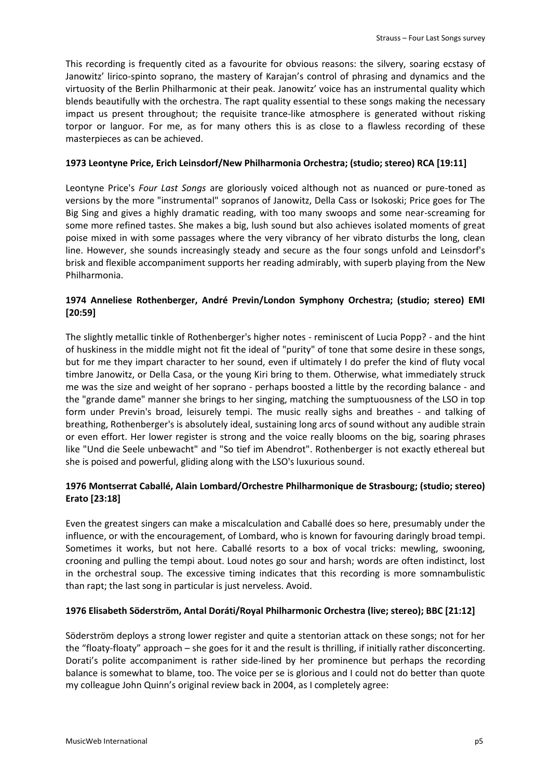This recording is frequently cited as a favourite for obvious reasons: the silvery, soaring ecstasy of Janowitz' lirico-spinto soprano, the mastery of Karajan's control of phrasing and dynamics and the virtuosity of the Berlin Philharmonic at their peak. Janowitz' voice has an instrumental quality which blends beautifully with the orchestra. The rapt quality essential to these songs making the necessary impact us present throughout; the requisite trance-like atmosphere is generated without risking torpor or languor. For me, as for many others this is as close to a flawless recording of these masterpieces as can be achieved.

#### **1973 Leontyne Price, Erich Leinsdorf/New Philharmonia Orchestra; (studio; stereo) RCA [19:11]**

Leontyne Price's *Four Last Songs* are gloriously voiced although not as nuanced or pure-toned as versions by the more "instrumental" sopranos of Janowitz, Della Cass or Isokoski; Price goes for The Big Sing and gives a highly dramatic reading, with too many swoops and some near-screaming for some more refined tastes. She makes a big, lush sound but also achieves isolated moments of great poise mixed in with some passages where the very vibrancy of her vibrato disturbs the long, clean line. However, she sounds increasingly steady and secure as the four songs unfold and Leinsdorf's brisk and flexible accompaniment supports her reading admirably, with superb playing from the New Philharmonia.

# **1974 Anneliese Rothenberger, André Previn/London Symphony Orchestra; (studio; stereo) EMI [20:59]**

The slightly metallic tinkle of Rothenberger's higher notes - reminiscent of Lucia Popp? - and the hint of huskiness in the middle might not fit the ideal of "purity" of tone that some desire in these songs, but for me they impart character to her sound, even if ultimately I do prefer the kind of fluty vocal timbre Janowitz, or Della Casa, or the young Kiri bring to them. Otherwise, what immediately struck me was the size and weight of her soprano - perhaps boosted a little by the recording balance - and the "grande dame" manner she brings to her singing, matching the sumptuousness of the LSO in top form under Previn's broad, leisurely tempi. The music really sighs and breathes - and talking of breathing, Rothenberger's is absolutely ideal, sustaining long arcs of sound without any audible strain or even effort. Her lower register is strong and the voice really blooms on the big, soaring phrases like "Und die Seele unbewacht" and "So tief im Abendrot". Rothenberger is not exactly ethereal but she is poised and powerful, gliding along with the LSO's luxurious sound.

# **1976 Montserrat Caballé, Alain Lombard/Orchestre Philharmonique de Strasbourg; (studio; stereo) Erato [23:18]**

Even the greatest singers can make a miscalculation and Caballé does so here, presumably under the influence, or with the encouragement, of Lombard, who is known for favouring daringly broad tempi. Sometimes it works, but not here. Caballé resorts to a box of vocal tricks: mewling, swooning, crooning and pulling the tempi about. Loud notes go sour and harsh; words are often indistinct, lost in the orchestral soup. The excessive timing indicates that this recording is more somnambulistic than rapt; the last song in particular is just nerveless. Avoid.

## **1976 Elisabeth Söderström, Antal Doráti/Royal Philharmonic Orchestra (live; stereo); BBC [21:12]**

Söderström deploys a strong lower register and quite a stentorian attack on these songs; not for her the "floaty-floaty" approach – she goes for it and the result is thrilling, if initially rather disconcerting. Dorati's polite accompaniment is rather side-lined by her prominence but perhaps the recording balance is somewhat to blame, too. The voice per se is glorious and I could not do better than quote my colleague John Quinn's original review back in 2004, as I completely agree: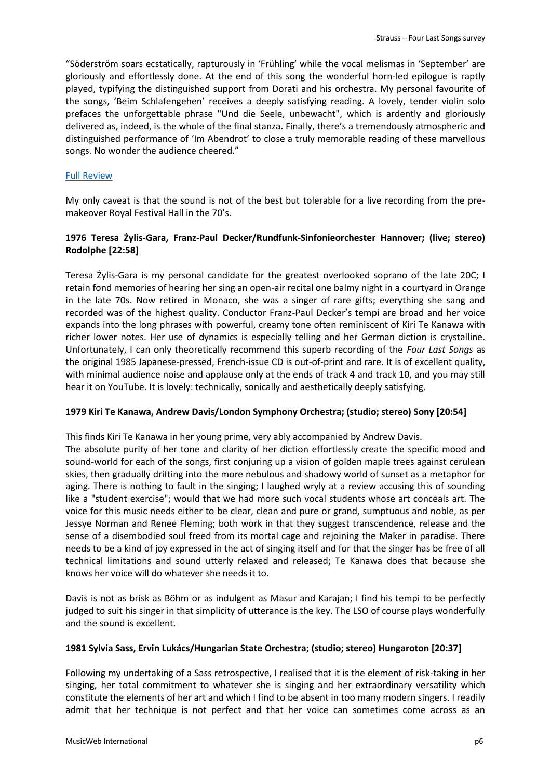"Söderström soars ecstatically, rapturously in 'Frühling' while the vocal melismas in 'September' are gloriously and effortlessly done. At the end of this song the wonderful horn-led epilogue is raptly played, typifying the distinguished support from Dorati and his orchestra. My personal favourite of the songs, 'Beim Schlafengehen' receives a deeply satisfying reading. A lovely, tender violin solo prefaces the unforgettable phrase "Und die Seele, unbewacht", which is ardently and gloriously delivered as, indeed, is the whole of the final stanza. Finally, there's a tremendously atmospheric and distinguished performance of 'Im Abendrot' to close a truly memorable reading of these marvellous songs. No wonder the audience cheered."

#### [Full Review](http://www.musicweb-international.com/classrev/2004/oct04/Strauss_Soderstrom.htm#ixzz5VucqUpFf)

My only caveat is that the sound is not of the best but tolerable for a live recording from the premakeover Royal Festival Hall in the 70's.

# **1976 Teresa Żylis-Gara, Franz-Paul Decker/Rundfunk-Sinfonieorchester Hannover; (live; stereo) Rodolphe [22:58]**

Teresa Żylis-Gara is my personal candidate for the greatest overlooked soprano of the late 20C; I retain fond memories of hearing her sing an open-air recital one balmy night in a courtyard in Orange in the late 70s. Now retired in Monaco, she was a singer of rare gifts; everything she sang and recorded was of the highest quality. Conductor Franz-Paul Decker's tempi are broad and her voice expands into the long phrases with powerful, creamy tone often reminiscent of Kiri Te Kanawa with richer lower notes. Her use of dynamics is especially telling and her German diction is crystalline. Unfortunately, I can only theoretically recommend this superb recording of the *Four Last Songs* as the original 1985 Japanese-pressed, French-issue CD is out-of-print and rare. It is of excellent quality, with minimal audience noise and applause only at the ends of track 4 and track 10, and you may still hear it on YouTube. It is lovely: technically, sonically and aesthetically deeply satisfying.

## **1979 Kiri Te Kanawa, Andrew Davis/London Symphony Orchestra; (studio; stereo) Sony [20:54]**

This finds Kiri Te Kanawa in her young prime, very ably accompanied by Andrew Davis. The absolute purity of her tone and clarity of her diction effortlessly create the specific mood and sound-world for each of the songs, first conjuring up a vision of golden maple trees against cerulean skies, then gradually drifting into the more nebulous and shadowy world of sunset as a metaphor for aging. There is nothing to fault in the singing; I laughed wryly at a review accusing this of sounding like a "student exercise"; would that we had more such vocal students whose art conceals art. The voice for this music needs either to be clear, clean and pure or grand, sumptuous and noble, as per Jessye Norman and Renee Fleming; both work in that they suggest transcendence, release and the sense of a disembodied soul freed from its mortal cage and rejoining the Maker in paradise. There needs to be a kind of joy expressed in the act of singing itself and for that the singer has be free of all technical limitations and sound utterly relaxed and released; Te Kanawa does that because she knows her voice will do whatever she needs it to.

Davis is not as brisk as Böhm or as indulgent as Masur and Karajan; I find his tempi to be perfectly judged to suit his singer in that simplicity of utterance is the key. The LSO of course plays wonderfully and the sound is excellent.

## **1981 Sylvia Sass, Ervin Lukács/Hungarian State Orchestra; (studio; stereo) Hungaroton [20:37]**

Following my undertaking of a Sass retrospective, I realised that it is the element of risk-taking in her singing, her total commitment to whatever she is singing and her extraordinary versatility which constitute the elements of her art and which I find to be absent in too many modern singers. I readily admit that her technique is not perfect and that her voice can sometimes come across as an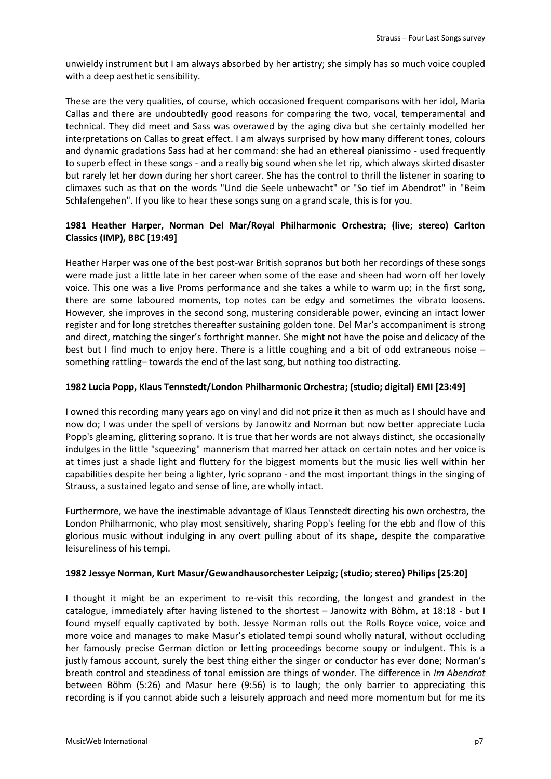unwieldy instrument but I am always absorbed by her artistry; she simply has so much voice coupled with a deep aesthetic sensibility.

These are the very qualities, of course, which occasioned frequent comparisons with her idol, Maria Callas and there are undoubtedly good reasons for comparing the two, vocal, temperamental and technical. They did meet and Sass was overawed by the aging diva but she certainly modelled her interpretations on Callas to great effect. I am always surprised by how many different tones, colours and dynamic gradations Sass had at her command: she had an ethereal pianissimo - used frequently to superb effect in these songs - and a really big sound when she let rip, which always skirted disaster but rarely let her down during her short career. She has the control to thrill the listener in soaring to climaxes such as that on the words "Und die Seele unbewacht" or "So tief im Abendrot" in "Beim Schlafengehen". If you like to hear these songs sung on a grand scale, this is for you.

# **1981 Heather Harper, Norman Del Mar/Royal Philharmonic Orchestra; (live; stereo) Carlton Classics (IMP), BBC [19:49]**

Heather Harper was one of the best post-war British sopranos but both her recordings of these songs were made just a little late in her career when some of the ease and sheen had worn off her lovely voice. This one was a live Proms performance and she takes a while to warm up; in the first song, there are some laboured moments, top notes can be edgy and sometimes the vibrato loosens. However, she improves in the second song, mustering considerable power, evincing an intact lower register and for long stretches thereafter sustaining golden tone. Del Mar's accompaniment is strong and direct, matching the singer's forthright manner. She might not have the poise and delicacy of the best but I find much to enjoy here. There is a little coughing and a bit of odd extraneous noise – something rattling– towards the end of the last song, but nothing too distracting.

## **1982 Lucia Popp, Klaus Tennstedt/London Philharmonic Orchestra; (studio; digital) EMI [23:49]**

I owned this recording many years ago on vinyl and did not prize it then as much as I should have and now do; I was under the spell of versions by Janowitz and Norman but now better appreciate Lucia Popp's gleaming, glittering soprano. It is true that her words are not always distinct, she occasionally indulges in the little "squeezing" mannerism that marred her attack on certain notes and her voice is at times just a shade light and fluttery for the biggest moments but the music lies well within her capabilities despite her being a lighter, lyric soprano - and the most important things in the singing of Strauss, a sustained legato and sense of line, are wholly intact.

Furthermore, we have the inestimable advantage of Klaus Tennstedt directing his own orchestra, the London Philharmonic, who play most sensitively, sharing Popp's feeling for the ebb and flow of this glorious music without indulging in any overt pulling about of its shape, despite the comparative leisureliness of his tempi.

## **1982 Jessye Norman, Kurt Masur/Gewandhausorchester Leipzig; (studio; stereo) Philips [25:20]**

I thought it might be an experiment to re-visit this recording, the longest and grandest in the catalogue, immediately after having listened to the shortest – Janowitz with Böhm, at 18:18 - but I found myself equally captivated by both. Jessye Norman rolls out the Rolls Royce voice, voice and more voice and manages to make Masur's etiolated tempi sound wholly natural, without occluding her famously precise German diction or letting proceedings become soupy or indulgent. This is a justly famous account, surely the best thing either the singer or conductor has ever done; Norman's breath control and steadiness of tonal emission are things of wonder. The difference in *Im Abendrot* between Böhm (5:26) and Masur here (9:56) is to laugh; the only barrier to appreciating this recording is if you cannot abide such a leisurely approach and need more momentum but for me its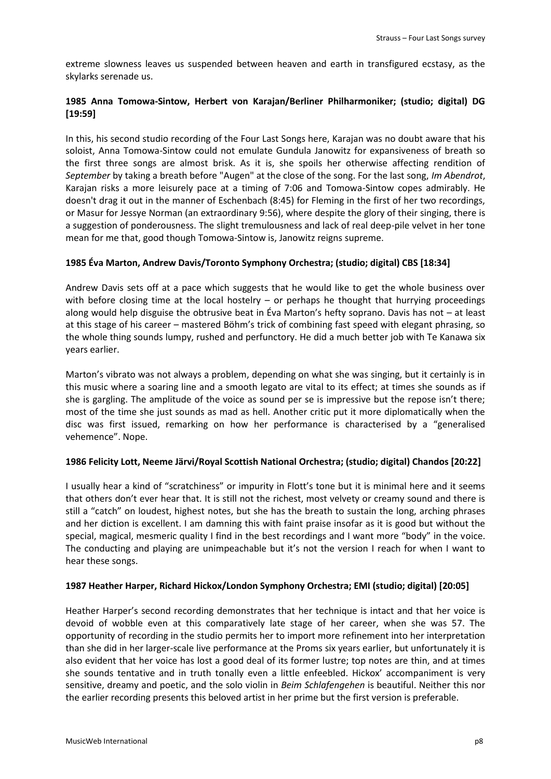extreme slowness leaves us suspended between heaven and earth in transfigured ecstasy, as the skylarks serenade us.

# **1985 Anna Tomowa-Sintow, Herbert von Karajan/Berliner Philharmoniker; (studio; digital) DG [19:59]**

In this, his second studio recording of the Four Last Songs here, Karajan was no doubt aware that his soloist, Anna Tomowa-Sintow could not emulate Gundula Janowitz for expansiveness of breath so the first three songs are almost brisk. As it is, she spoils her otherwise affecting rendition of *September* by taking a breath before "Augen" at the close of the song. For the last song, *Im Abendrot*, Karajan risks a more leisurely pace at a timing of 7:06 and Tomowa-Sintow copes admirably. He doesn't drag it out in the manner of Eschenbach (8:45) for Fleming in the first of her two recordings, or Masur for Jessye Norman (an extraordinary 9:56), where despite the glory of their singing, there is a suggestion of ponderousness. The slight tremulousness and lack of real deep-pile velvet in her tone mean for me that, good though Tomowa-Sintow is, Janowitz reigns supreme.

# **1985 Éva Marton, Andrew Davis/Toronto Symphony Orchestra; (studio; digital) CBS [18:34]**

Andrew Davis sets off at a pace which suggests that he would like to get the whole business over with before closing time at the local hostelry – or perhaps he thought that hurrying proceedings along would help disguise the obtrusive beat in Éva Marton's hefty soprano. Davis has not – at least at this stage of his career – mastered Böhm's trick of combining fast speed with elegant phrasing, so the whole thing sounds lumpy, rushed and perfunctory. He did a much better job with Te Kanawa six years earlier.

Marton's vibrato was not always a problem, depending on what she was singing, but it certainly is in this music where a soaring line and a smooth legato are vital to its effect; at times she sounds as if she is gargling. The amplitude of the voice as sound per se is impressive but the repose isn't there; most of the time she just sounds as mad as hell. Another critic put it more diplomatically when the disc was first issued, remarking on how her performance is characterised by a "generalised vehemence". Nope.

## **1986 Felicity Lott, Neeme Järvi/Royal Scottish National Orchestra; (studio; digital) Chandos [20:22]**

I usually hear a kind of "scratchiness" or impurity in Flott's tone but it is minimal here and it seems that others don't ever hear that. It is still not the richest, most velvety or creamy sound and there is still a "catch" on loudest, highest notes, but she has the breath to sustain the long, arching phrases and her diction is excellent. I am damning this with faint praise insofar as it is good but without the special, magical, mesmeric quality I find in the best recordings and I want more "body" in the voice. The conducting and playing are unimpeachable but it's not the version I reach for when I want to hear these songs.

## **1987 Heather Harper, Richard Hickox/London Symphony Orchestra; EMI (studio; digital) [20:05]**

Heather Harper's second recording demonstrates that her technique is intact and that her voice is devoid of wobble even at this comparatively late stage of her career, when she was 57. The opportunity of recording in the studio permits her to import more refinement into her interpretation than she did in her larger-scale live performance at the Proms six years earlier, but unfortunately it is also evident that her voice has lost a good deal of its former lustre; top notes are thin, and at times she sounds tentative and in truth tonally even a little enfeebled. Hickox' accompaniment is very sensitive, dreamy and poetic, and the solo violin in *Beim Schlafengehen* is beautiful. Neither this nor the earlier recording presents this beloved artist in her prime but the first version is preferable.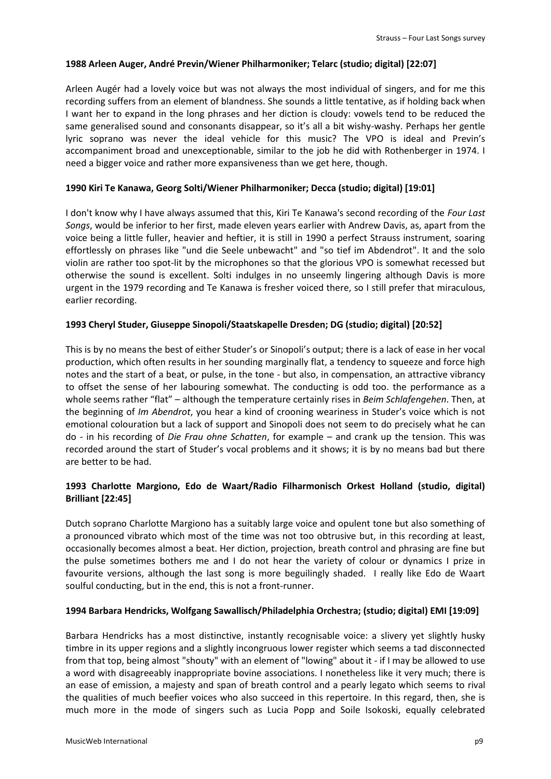#### **1988 Arleen Auger, André Previn/Wiener Philharmoniker; Telarc (studio; digital) [22:07]**

Arleen Augér had a lovely voice but was not always the most individual of singers, and for me this recording suffers from an element of blandness. She sounds a little tentative, as if holding back when I want her to expand in the long phrases and her diction is cloudy: vowels tend to be reduced the same generalised sound and consonants disappear, so it's all a bit wishy-washy. Perhaps her gentle lyric soprano was never the ideal vehicle for this music? The VPO is ideal and Previn's accompaniment broad and unexceptionable, similar to the job he did with Rothenberger in 1974. I need a bigger voice and rather more expansiveness than we get here, though.

## **1990 Kiri Te Kanawa, Georg Solti/Wiener Philharmoniker; Decca (studio; digital) [19:01]**

I don't know why I have always assumed that this, Kiri Te Kanawa's second recording of the *Four Last Songs*, would be inferior to her first, made eleven years earlier with Andrew Davis, as, apart from the voice being a little fuller, heavier and heftier, it is still in 1990 a perfect Strauss instrument, soaring effortlessly on phrases like "und die Seele unbewacht" and "so tief im Abdendrot". It and the solo violin are rather too spot-lit by the microphones so that the glorious VPO is somewhat recessed but otherwise the sound is excellent. Solti indulges in no unseemly lingering although Davis is more urgent in the 1979 recording and Te Kanawa is fresher voiced there, so I still prefer that miraculous, earlier recording.

#### **1993 Cheryl Studer, Giuseppe Sinopoli/Staatskapelle Dresden; DG (studio; digital) [20:52]**

This is by no means the best of either Studer's or Sinopoli's output; there is a lack of ease in her vocal production, which often results in her sounding marginally flat, a tendency to squeeze and force high notes and the start of a beat, or pulse, in the tone - but also, in compensation, an attractive vibrancy to offset the sense of her labouring somewhat. The conducting is odd too. the performance as a whole seems rather "flat" – although the temperature certainly rises in *Beim Schlafengehen*. Then, at the beginning of *Im Abendrot*, you hear a kind of crooning weariness in Studer's voice which is not emotional colouration but a lack of support and Sinopoli does not seem to do precisely what he can do - in his recording of *Die Frau ohne Schatten*, for example – and crank up the tension. This was recorded around the start of Studer's vocal problems and it shows; it is by no means bad but there are better to be had.

# **1993 Charlotte Margiono, Edo de Waart/Radio Filharmonisch Orkest Holland (studio, digital) Brilliant [22:45]**

Dutch soprano Charlotte Margiono has a suitably large voice and opulent tone but also something of a pronounced vibrato which most of the time was not too obtrusive but, in this recording at least, occasionally becomes almost a beat. Her diction, projection, breath control and phrasing are fine but the pulse sometimes bothers me and I do not hear the variety of colour or dynamics I prize in favourite versions, although the last song is more beguilingly shaded. I really like Edo de Waart soulful conducting, but in the end, this is not a front-runner.

## **1994 Barbara Hendricks, Wolfgang Sawallisch/Philadelphia Orchestra; (studio; digital) EMI [19:09]**

Barbara Hendricks has a most distinctive, instantly recognisable voice: a slivery yet slightly husky timbre in its upper regions and a slightly incongruous lower register which seems a tad disconnected from that top, being almost "shouty" with an element of "lowing" about it - if I may be allowed to use a word with disagreeably inappropriate bovine associations. I nonetheless like it very much; there is an ease of emission, a majesty and span of breath control and a pearly legato which seems to rival the qualities of much beefier voices who also succeed in this repertoire. In this regard, then, she is much more in the mode of singers such as Lucia Popp and Soile Isokoski, equally celebrated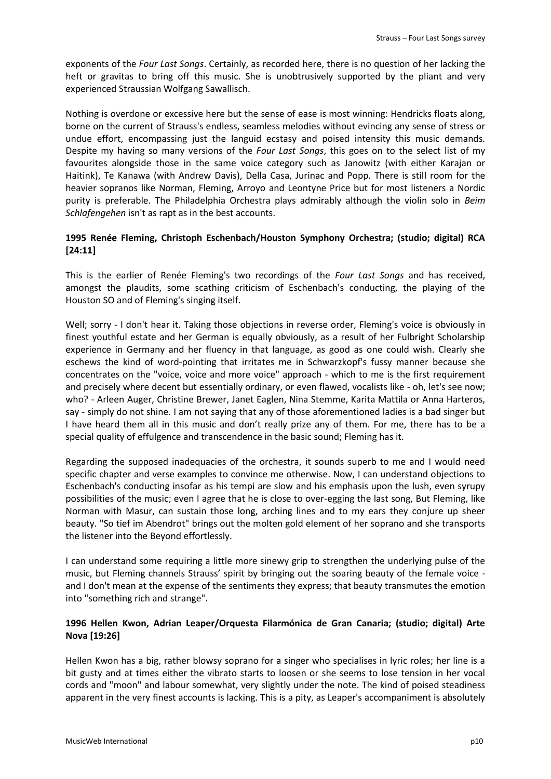exponents of the *Four Last Songs*. Certainly, as recorded here, there is no question of her lacking the heft or gravitas to bring off this music. She is unobtrusively supported by the pliant and very experienced Straussian Wolfgang Sawallisch.

Nothing is overdone or excessive here but the sense of ease is most winning: Hendricks floats along, borne on the current of Strauss's endless, seamless melodies without evincing any sense of stress or undue effort, encompassing just the languid ecstasy and poised intensity this music demands. Despite my having so many versions of the *Four Last Songs*, this goes on to the select list of my favourites alongside those in the same voice category such as Janowitz (with either Karajan or Haitink), Te Kanawa (with Andrew Davis), Della Casa, Jurinac and Popp. There is still room for the heavier sopranos like Norman, Fleming, Arroyo and Leontyne Price but for most listeners a Nordic purity is preferable. The Philadelphia Orchestra plays admirably although the violin solo in *Beim Schlafengehen* isn't as rapt as in the best accounts.

# **1995 Renée Fleming, Christoph Eschenbach/Houston Symphony Orchestra; (studio; digital) RCA [24:11]**

This is the earlier of Renée Fleming's two recordings of the *Four Last Songs* and has received, amongst the plaudits, some scathing criticism of Eschenbach's conducting, the playing of the Houston SO and of Fleming's singing itself.

Well; sorry - I don't hear it. Taking those objections in reverse order, Fleming's voice is obviously in finest youthful estate and her German is equally obviously, as a result of her Fulbright Scholarship experience in Germany and her fluency in that language, as good as one could wish. Clearly she eschews the kind of word-pointing that irritates me in Schwarzkopf's fussy manner because she concentrates on the "voice, voice and more voice" approach - which to me is the first requirement and precisely where decent but essentially ordinary, or even flawed, vocalists like - oh, let's see now; who? - Arleen Auger, Christine Brewer, Janet Eaglen, Nina Stemme, Karita Mattila or Anna Harteros, say - simply do not shine. I am not saying that any of those aforementioned ladies is a bad singer but I have heard them all in this music and don't really prize any of them. For me, there has to be a special quality of effulgence and transcendence in the basic sound; Fleming has it.

Regarding the supposed inadequacies of the orchestra, it sounds superb to me and I would need specific chapter and verse examples to convince me otherwise. Now, I can understand objections to Eschenbach's conducting insofar as his tempi are slow and his emphasis upon the lush, even syrupy possibilities of the music; even I agree that he is close to over-egging the last song, But Fleming, like Norman with Masur, can sustain those long, arching lines and to my ears they conjure up sheer beauty. "So tief im Abendrot" brings out the molten gold element of her soprano and she transports the listener into the Beyond effortlessly.

I can understand some requiring a little more sinewy grip to strengthen the underlying pulse of the music, but Fleming channels Strauss' spirit by bringing out the soaring beauty of the female voice and I don't mean at the expense of the sentiments they express; that beauty transmutes the emotion into "something rich and strange".

# **1996 Hellen Kwon, Adrian Leaper/Orquesta Filarmónica de Gran Canaria; (studio; digital) Arte Nova [19:26]**

Hellen Kwon has a big, rather blowsy soprano for a singer who specialises in lyric roles; her line is a bit gusty and at times either the vibrato starts to loosen or she seems to lose tension in her vocal cords and "moon" and labour somewhat, very slightly under the note. The kind of poised steadiness apparent in the very finest accounts is lacking. This is a pity, as Leaper's accompaniment is absolutely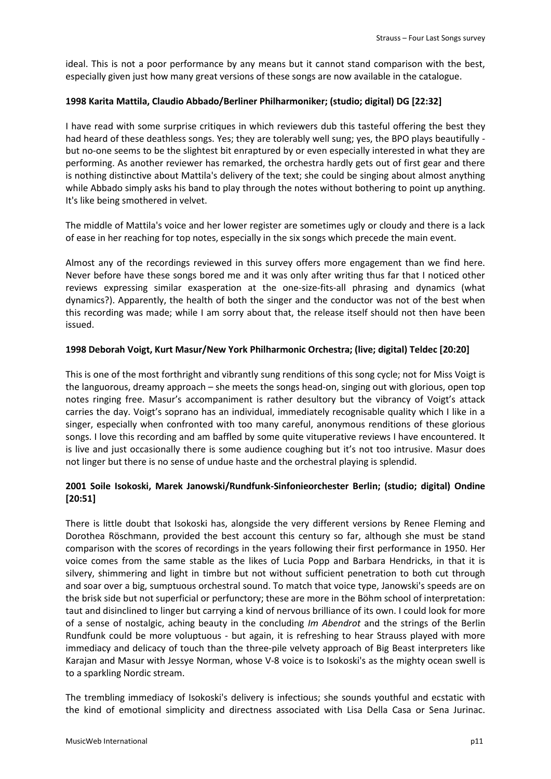ideal. This is not a poor performance by any means but it cannot stand comparison with the best, especially given just how many great versions of these songs are now available in the catalogue.

## **1998 Karita Mattila, Claudio Abbado/Berliner Philharmoniker; (studio; digital) DG [22:32]**

I have read with some surprise critiques in which reviewers dub this tasteful offering the best they had heard of these deathless songs. Yes; they are tolerably well sung; yes, the BPO plays beautifully but no-one seems to be the slightest bit enraptured by or even especially interested in what they are performing. As another reviewer has remarked, the orchestra hardly gets out of first gear and there is nothing distinctive about Mattila's delivery of the text; she could be singing about almost anything while Abbado simply asks his band to play through the notes without bothering to point up anything. It's like being smothered in velvet.

The middle of Mattila's voice and her lower register are sometimes ugly or cloudy and there is a lack of ease in her reaching for top notes, especially in the six songs which precede the main event.

Almost any of the recordings reviewed in this survey offers more engagement than we find here. Never before have these songs bored me and it was only after writing thus far that I noticed other reviews expressing similar exasperation at the one-size-fits-all phrasing and dynamics (what dynamics?). Apparently, the health of both the singer and the conductor was not of the best when this recording was made; while I am sorry about that, the release itself should not then have been issued.

## **1998 Deborah Voigt, Kurt Masur/New York Philharmonic Orchestra; (live; digital) Teldec [20:20]**

This is one of the most forthright and vibrantly sung renditions of this song cycle; not for Miss Voigt is the languorous, dreamy approach – she meets the songs head-on, singing out with glorious, open top notes ringing free. Masur's accompaniment is rather desultory but the vibrancy of Voigt's attack carries the day. Voigt's soprano has an individual, immediately recognisable quality which I like in a singer, especially when confronted with too many careful, anonymous renditions of these glorious songs. I love this recording and am baffled by some quite vituperative reviews I have encountered. It is live and just occasionally there is some audience coughing but it's not too intrusive. Masur does not linger but there is no sense of undue haste and the orchestral playing is splendid.

# **2001 Soile Isokoski, Marek Janowski/Rundfunk-Sinfonieorchester Berlin; (studio; digital) Ondine [20:51]**

There is little doubt that Isokoski has, alongside the very different versions by Renee Fleming and Dorothea Röschmann, provided the best account this century so far, although she must be stand comparison with the scores of recordings in the years following their first performance in 1950. Her voice comes from the same stable as the likes of Lucia Popp and Barbara Hendricks, in that it is silvery, shimmering and light in timbre but not without sufficient penetration to both cut through and soar over a big, sumptuous orchestral sound. To match that voice type, Janowski's speeds are on the brisk side but not superficial or perfunctory; these are more in the Böhm school of interpretation: taut and disinclined to linger but carrying a kind of nervous brilliance of its own. I could look for more of a sense of nostalgic, aching beauty in the concluding *Im Abendrot* and the strings of the Berlin Rundfunk could be more voluptuous - but again, it is refreshing to hear Strauss played with more immediacy and delicacy of touch than the three-pile velvety approach of Big Beast interpreters like Karajan and Masur with Jessye Norman, whose V-8 voice is to Isokoski's as the mighty ocean swell is to a sparkling Nordic stream.

The trembling immediacy of Isokoski's delivery is infectious; she sounds youthful and ecstatic with the kind of emotional simplicity and directness associated with Lisa Della Casa or Sena Jurinac.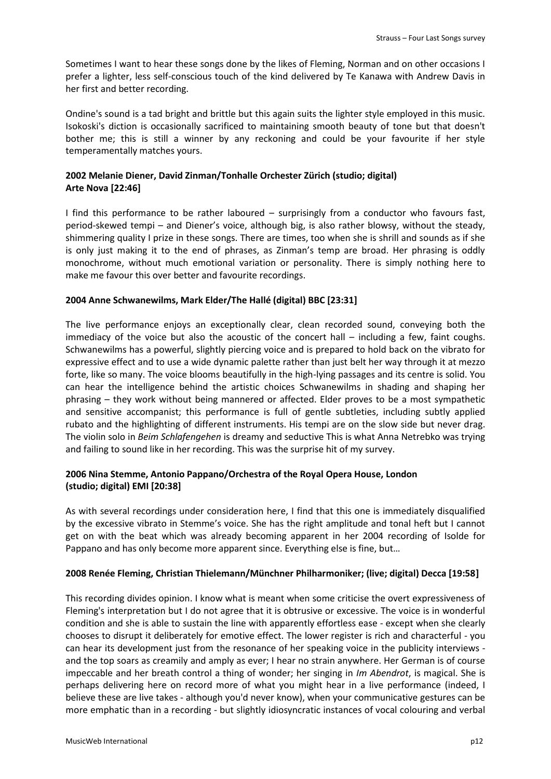Sometimes I want to hear these songs done by the likes of Fleming, Norman and on other occasions I prefer a lighter, less self-conscious touch of the kind delivered by Te Kanawa with Andrew Davis in her first and better recording.

Ondine's sound is a tad bright and brittle but this again suits the lighter style employed in this music. Isokoski's diction is occasionally sacrificed to maintaining smooth beauty of tone but that doesn't bother me; this is still a winner by any reckoning and could be your favourite if her style temperamentally matches yours.

# **2002 Melanie Diener, David Zinman/Tonhalle Orchester Zürich (studio; digital) Arte Nova [22:46]**

I find this performance to be rather laboured – surprisingly from a conductor who favours fast, period-skewed tempi – and Diener's voice, although big, is also rather blowsy, without the steady, shimmering quality I prize in these songs. There are times, too when she is shrill and sounds as if she is only just making it to the end of phrases, as Zinman's temp are broad. Her phrasing is oddly monochrome, without much emotional variation or personality. There is simply nothing here to make me favour this over better and favourite recordings.

# **2004 Anne Schwanewilms, Mark Elder/The Hallé (digital) BBC [23:31]**

The live performance enjoys an exceptionally clear, clean recorded sound, conveying both the immediacy of the voice but also the acoustic of the concert hall – including a few, faint coughs. Schwanewilms has a powerful, slightly piercing voice and is prepared to hold back on the vibrato for expressive effect and to use a wide dynamic palette rather than just belt her way through it at mezzo forte, like so many. The voice blooms beautifully in the high-lying passages and its centre is solid. You can hear the intelligence behind the artistic choices Schwanewilms in shading and shaping her phrasing – they work without being mannered or affected. Elder proves to be a most sympathetic and sensitive accompanist; this performance is full of gentle subtleties, including subtly applied rubato and the highlighting of different instruments. His tempi are on the slow side but never drag. The violin solo in *Beim Schlafengehen* is dreamy and seductive This is what Anna Netrebko was trying and failing to sound like in her recording. This was the surprise hit of my survey.

# **2006 Nina Stemme, Antonio Pappano/Orchestra of the Royal Opera House, London (studio; digital) EMI [20:38]**

As with several recordings under consideration here, I find that this one is immediately disqualified by the excessive vibrato in Stemme's voice. She has the right amplitude and tonal heft but I cannot get on with the beat which was already becoming apparent in her 2004 recording of Isolde for Pappano and has only become more apparent since. Everything else is fine, but…

## **2008 Renée Fleming, Christian Thielemann/Münchner Philharmoniker; (live; digital) Decca [19:58]**

This recording divides opinion. I know what is meant when some criticise the overt expressiveness of Fleming's interpretation but I do not agree that it is obtrusive or excessive. The voice is in wonderful condition and she is able to sustain the line with apparently effortless ease - except when she clearly chooses to disrupt it deliberately for emotive effect. The lower register is rich and characterful - you can hear its development just from the resonance of her speaking voice in the publicity interviews and the top soars as creamily and amply as ever; I hear no strain anywhere. Her German is of course impeccable and her breath control a thing of wonder; her singing in *Im Abendrot*, is magical. She is perhaps delivering here on record more of what you might hear in a live performance (indeed, I believe these are live takes - although you'd never know), when your communicative gestures can be more emphatic than in a recording - but slightly idiosyncratic instances of vocal colouring and verbal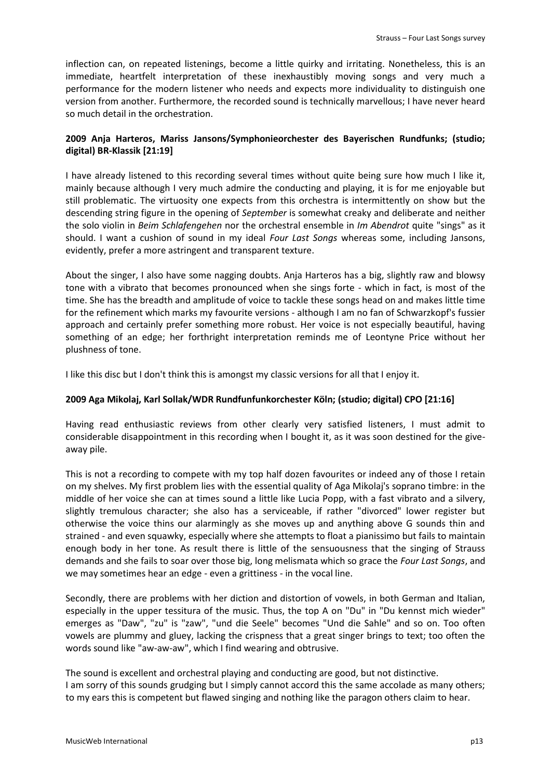inflection can, on repeated listenings, become a little quirky and irritating. Nonetheless, this is an immediate, heartfelt interpretation of these inexhaustibly moving songs and very much a performance for the modern listener who needs and expects more individuality to distinguish one version from another. Furthermore, the recorded sound is technically marvellous; I have never heard so much detail in the orchestration.

# **2009 Anja Harteros, Mariss Jansons/Symphonieorchester des Bayerischen Rundfunks; (studio; digital) BR-Klassik [21:19]**

I have already listened to this recording several times without quite being sure how much I like it, mainly because although I very much admire the conducting and playing, it is for me enjoyable but still problematic. The virtuosity one expects from this orchestra is intermittently on show but the descending string figure in the opening of *September* is somewhat creaky and deliberate and neither the solo violin in *Beim Schlafengehen* nor the orchestral ensemble in *Im Abendrot* quite "sings" as it should. I want a cushion of sound in my ideal *Four Last Songs* whereas some, including Jansons, evidently, prefer a more astringent and transparent texture.

About the singer, I also have some nagging doubts. Anja Harteros has a big, slightly raw and blowsy tone with a vibrato that becomes pronounced when she sings forte - which in fact, is most of the time. She has the breadth and amplitude of voice to tackle these songs head on and makes little time for the refinement which marks my favourite versions - although I am no fan of Schwarzkopf's fussier approach and certainly prefer something more robust. Her voice is not especially beautiful, having something of an edge; her forthright interpretation reminds me of Leontyne Price without her plushness of tone.

I like this disc but I don't think this is amongst my classic versions for all that I enjoy it.

## **2009 Aga Mikolaj, Karl Sollak/WDR Rundfunfunkorchester Köln; (studio; digital) CPO [21:16]**

Having read enthusiastic reviews from other clearly very satisfied listeners, I must admit to considerable disappointment in this recording when I bought it, as it was soon destined for the giveaway pile.

This is not a recording to compete with my top half dozen favourites or indeed any of those I retain on my shelves. My first problem lies with the essential quality of Aga Mikolaj's soprano timbre: in the middle of her voice she can at times sound a little like Lucia Popp, with a fast vibrato and a silvery, slightly tremulous character; she also has a serviceable, if rather "divorced" lower register but otherwise the voice thins our alarmingly as she moves up and anything above G sounds thin and strained - and even squawky, especially where she attempts to float a pianissimo but fails to maintain enough body in her tone. As result there is little of the sensuousness that the singing of Strauss demands and she fails to soar over those big, long melismata which so grace the *Four Last Songs*, and we may sometimes hear an edge - even a grittiness - in the vocal line.

Secondly, there are problems with her diction and distortion of vowels, in both German and Italian, especially in the upper tessitura of the music. Thus, the top A on "Du" in "Du kennst mich wieder" emerges as "Daw", "zu" is "zaw", "und die Seele" becomes "Und die Sahle" and so on. Too often vowels are plummy and gluey, lacking the crispness that a great singer brings to text; too often the words sound like "aw-aw-aw", which I find wearing and obtrusive.

The sound is excellent and orchestral playing and conducting are good, but not distinctive. I am sorry of this sounds grudging but I simply cannot accord this the same accolade as many others; to my ears this is competent but flawed singing and nothing like the paragon others claim to hear.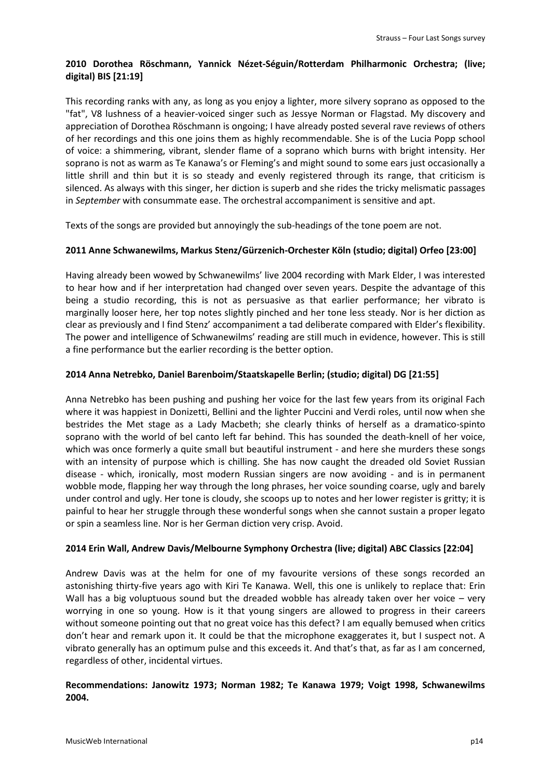# **2010 Dorothea Röschmann, Yannick Nézet-Séguin/Rotterdam Philharmonic Orchestra; (live; digital) BIS [21:19]**

This recording ranks with any, as long as you enjoy a lighter, more silvery soprano as opposed to the "fat", V8 lushness of a heavier-voiced singer such as Jessye Norman or Flagstad. My discovery and appreciation of Dorothea Röschmann is ongoing; I have already posted several rave reviews of others of her recordings and this one joins them as highly recommendable. She is of the Lucia Popp school of voice: a shimmering, vibrant, slender flame of a soprano which burns with bright intensity. Her soprano is not as warm as Te Kanawa's or Fleming's and might sound to some ears just occasionally a little shrill and thin but it is so steady and evenly registered through its range, that criticism is silenced. As always with this singer, her diction is superb and she rides the tricky melismatic passages in *September* with consummate ease. The orchestral accompaniment is sensitive and apt.

Texts of the songs are provided but annoyingly the sub-headings of the tone poem are not.

# **2011 Anne Schwanewilms, Markus Stenz/Gürzenich-Orchester Köln (studio; digital) Orfeo [23:00]**

Having already been wowed by Schwanewilms' live 2004 recording with Mark Elder, I was interested to hear how and if her interpretation had changed over seven years. Despite the advantage of this being a studio recording, this is not as persuasive as that earlier performance; her vibrato is marginally looser here, her top notes slightly pinched and her tone less steady. Nor is her diction as clear as previously and I find Stenz' accompaniment a tad deliberate compared with Elder's flexibility. The power and intelligence of Schwanewilms' reading are still much in evidence, however. This is still a fine performance but the earlier recording is the better option.

# **2014 Anna Netrebko, Daniel Barenboim/Staatskapelle Berlin; (studio; digital) DG [21:55]**

Anna Netrebko has been pushing and pushing her voice for the last few years from its original Fach where it was happiest in Donizetti, Bellini and the lighter Puccini and Verdi roles, until now when she bestrides the Met stage as a Lady Macbeth; she clearly thinks of herself as a dramatico-spinto soprano with the world of bel canto left far behind. This has sounded the death-knell of her voice, which was once formerly a quite small but beautiful instrument - and here she murders these songs with an intensity of purpose which is chilling. She has now caught the dreaded old Soviet Russian disease - which, ironically, most modern Russian singers are now avoiding - and is in permanent wobble mode, flapping her way through the long phrases, her voice sounding coarse, ugly and barely under control and ugly. Her tone is cloudy, she scoops up to notes and her lower register is gritty; it is painful to hear her struggle through these wonderful songs when she cannot sustain a proper legato or spin a seamless line. Nor is her German diction very crisp. Avoid.

## **2014 Erin Wall, Andrew Davis/Melbourne Symphony Orchestra (live; digital) ABC Classics [22:04]**

Andrew Davis was at the helm for one of my favourite versions of these songs recorded an astonishing thirty-five years ago with Kiri Te Kanawa. Well, this one is unlikely to replace that: Erin Wall has a big voluptuous sound but the dreaded wobble has already taken over her voice – very worrying in one so young. How is it that young singers are allowed to progress in their careers without someone pointing out that no great voice has this defect? I am equally bemused when critics don't hear and remark upon it. It could be that the microphone exaggerates it, but I suspect not. A vibrato generally has an optimum pulse and this exceeds it. And that's that, as far as I am concerned, regardless of other, incidental virtues.

# **Recommendations: Janowitz 1973; Norman 1982; Te Kanawa 1979; Voigt 1998, Schwanewilms 2004.**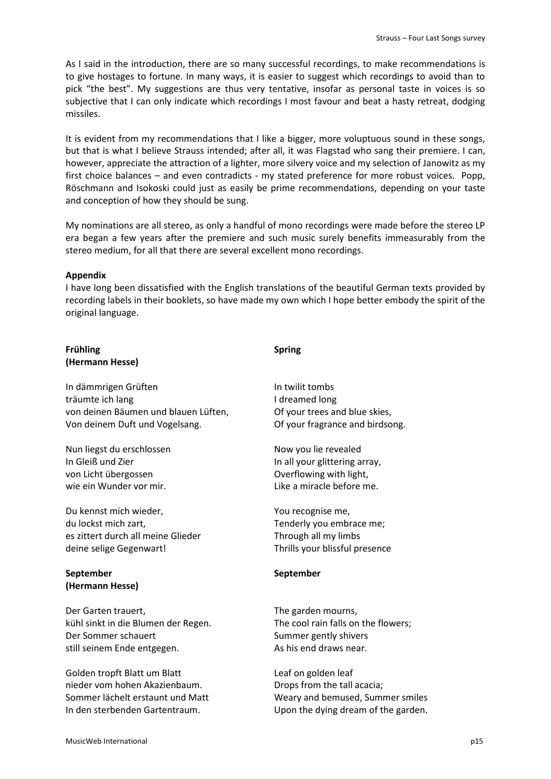As I said in the introduction, there are so many successful recordings, to make recommendations is to give hostages to fortune. In many ways, it is easier to suggest which recordings to avoid than to pick "the best". My suggestions are thus very tentative, insofar as personal taste in voices is so subjective that I can only indicate which recordings I most favour and beat a hasty retreat, dodging missiles.

It is evident from my recommendations that I like a bigger, more voluptuous sound in these songs, but that is what I believe Strauss intended; after all, it was Flagstad who sang their premiere. I can, however, appreciate the attraction of a lighter, more silvery voice and my selection of Janowitz as my first choice balances – and even contradicts - my stated preference for more robust voices. Popp, Röschmann and Isokoski could just as easily be prime recommendations, depending on your taste and conception of how they should be sung.

My nominations are all stereo, as only a handful of mono recordings were made before the stereo LP era began a few years after the premiere and such music surely benefits immeasurably from the stereo medium, for all that there are several excellent mono recordings.

#### **Appendix**

I have long been dissatisfied with the English translations of the beautiful German texts provided by recording labels in their booklets, so have made my own which I hope better embody the spirit of the original language.

## **Frühling (Hermann Hesse)**

In dämmrigen Grüften träumte ich lang von deinen Bäumen und blauen Lüften, Von deinem Duft und Vogelsang.

Nun liegst du erschlossen In Gleiß und Zier von Licht übergossen wie ein Wunder vor mir.

Du kennst mich wieder, du lockst mich zart, es zittert durch all meine Glieder deine selige Gegenwart!

# **September (Hermann Hesse)**

Der Garten trauert, kühl sinkt in die Blumen der Regen. Der Sommer schauert still seinem Ende entgegen.

Golden tropft Blatt um Blatt nieder vom hohen Akazienbaum. Sommer lächelt erstaunt und Matt In den sterbenden Gartentraum.

# **Spring**

In twilit tombs I dreamed long Of your trees and blue skies, Of your fragrance and birdsong.

Now you lie revealed In all your glittering array, Overflowing with light, Like a miracle before me.

You recognise me, Tenderly you embrace me; Through all my limbs Thrills your blissful presence

## **September**

The garden mourns, The cool rain falls on the flowers; Summer gently shivers As his end draws near.

Leaf on golden leaf Drops from the tall acacia; Weary and bemused, Summer smiles Upon the dying dream of the garden.